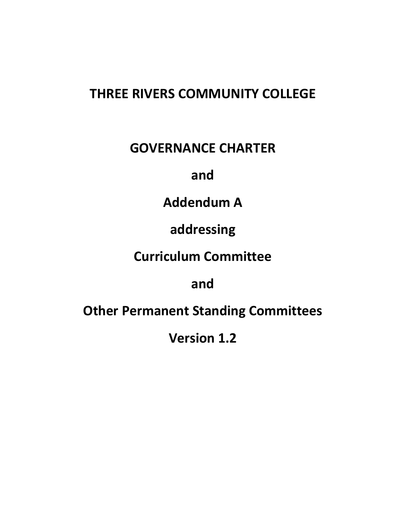## **THREE RIVERS COMMUNITY COLLEGE**

## **GOVERNANCE CHARTER**

## **and**

# **Addendum A**

# **addressing**

# **Curriculum Committee**

## **and**

# **Other Permanent Standing Committees**

**Version 1.2**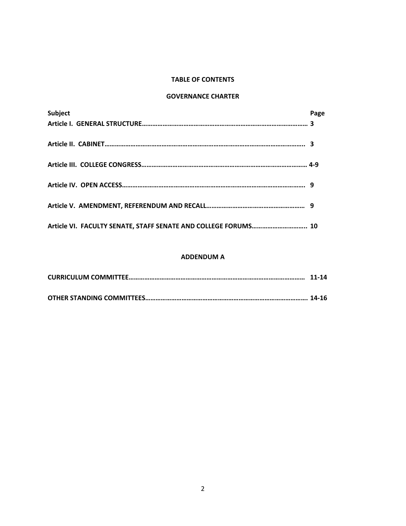#### **TABLE OF CONTENTS**

#### **GOVERNANCE CHARTER**

| Subject                                                        | Page |
|----------------------------------------------------------------|------|
|                                                                |      |
|                                                                |      |
|                                                                |      |
|                                                                |      |
|                                                                |      |
|                                                                |      |
|                                                                |      |
|                                                                |      |
|                                                                |      |
| Article VI. FACULTY SENATE, STAFF SENATE AND COLLEGE FORUMS 10 |      |

### **ADDENDUM A**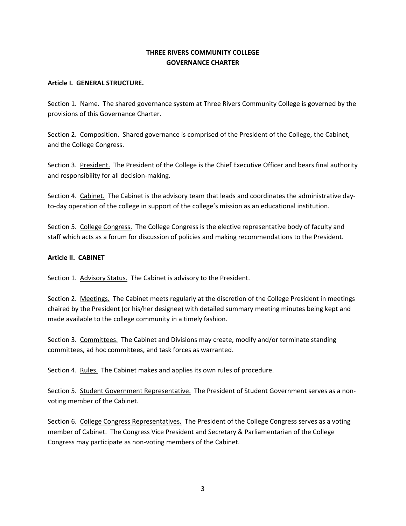## **THREE RIVERS COMMUNITY COLLEGE GOVERNANCE CHARTER**

#### **Article I. GENERAL STRUCTURE.**

Section 1. Name. The shared governance system at Three Rivers Community College is governed by the provisions of this Governance Charter.

Section 2. Composition. Shared governance is comprised of the President of the College, the Cabinet, and the College Congress.

Section 3. President. The President of the College is the Chief Executive Officer and bears final authority and responsibility for all decision‐making.

Section 4. Cabinet. The Cabinet is the advisory team that leads and coordinates the administrative day‐ to-day operation of the college in support of the college's mission as an educational institution.

Section 5. College Congress. The College Congress is the elective representative body of faculty and staff which acts as a forum for discussion of policies and making recommendations to the President.

#### **Article II. CABINET**

Section 1. Advisory Status. The Cabinet is advisory to the President.

Section 2. Meetings. The Cabinet meets regularly at the discretion of the College President in meetings chaired by the President (or his/her designee) with detailed summary meeting minutes being kept and made available to the college community in a timely fashion.

Section 3. Committees. The Cabinet and Divisions may create, modify and/or terminate standing committees, ad hoc committees, and task forces as warranted.

Section 4. Rules. The Cabinet makes and applies its own rules of procedure.

Section 5. Student Government Representative. The President of Student Government serves as a nonvoting member of the Cabinet.

Section 6. College Congress Representatives.The President of the College Congress serves as a voting member of Cabinet. The Congress Vice President and Secretary & Parliamentarian of the College Congress may participate as non‐voting members of the Cabinet.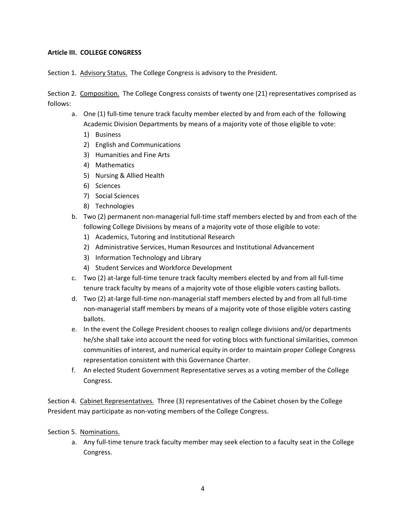#### **Article III. COLLEGE CONGRESS**

Section 1. Advisory Status. The College Congress is advisory to the President.

Section 2. Composition. The College Congress consists of twenty one (21) representatives comprised as follows:

- a. One (1) full‐time tenure track faculty member elected by and from each of the following Academic Division Departments by means of a majority vote of those eligible to vote:
	- 1) Business
	- 2) English and Communications
	- 3) Humanities and Fine Arts
	- 4) Mathematics
	- 5) Nursing & Allied Health
	- 6) Sciences
	- 7) Social Sciences
	- 8) Technologies
- b. Two (2) permanent non-managerial full-time staff members elected by and from each of the following College Divisions by means of a majority vote of those eligible to vote:
	- 1) Academics, Tutoring and Institutional Research
	- 2) Administrative Services, Human Resources and Institutional Advancement
	- 3) Information Technology and Library
	- 4) Student Services and Workforce Development
- c. Two (2) at‐large full‐time tenure track faculty members elected by and from all full‐time tenure track faculty by means of a majority vote of those eligible voters casting ballots.
- d. Two (2) at-large full-time non-managerial staff members elected by and from all full-time non‐managerial staff members by means of a majority vote of those eligible voters casting ballots.
- e. In the event the College President chooses to realign college divisions and/or departments he/she shall take into account the need for voting blocs with functional similarities, common communities of interest, and numerical equity in order to maintain proper College Congress representation consistent with this Governance Charter.
- f. An elected Student Government Representative serves as a voting member of the College Congress.

Section 4. Cabinet Representatives. Three (3) representatives of the Cabinet chosen by the College President may participate as non‐voting members of the College Congress.

Section 5. Nominations.

a. Any full-time tenure track faculty member may seek election to a faculty seat in the College Congress.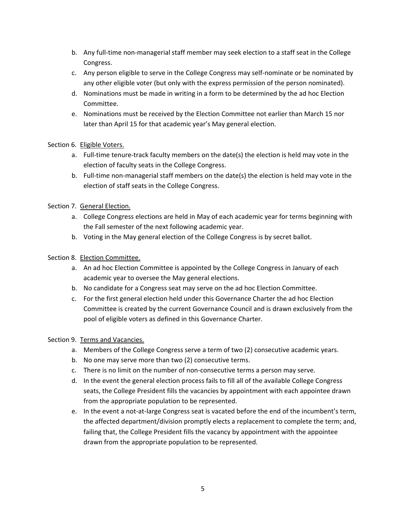- b. Any full-time non-managerial staff member may seek election to a staff seat in the College Congress.
- c. Any person eligible to serve in the College Congress may self‐nominate or be nominated by any other eligible voter (but only with the express permission of the person nominated).
- d. Nominations must be made in writing in a form to be determined by the ad hoc Election Committee.
- e. Nominations must be received by the Election Committee not earlier than March 15 nor later than April 15 for that academic year's May general election.

## Section 6. Eligible Voters.

- a. Full-time tenure-track faculty members on the date(s) the election is held may vote in the election of faculty seats in the College Congress.
- b. Full-time non-managerial staff members on the date(s) the election is held may vote in the election of staff seats in the College Congress.

## Section 7. General Election.

- a. College Congress elections are held in May of each academic year for terms beginning with the Fall semester of the next following academic year.
- b. Voting in the May general election of the College Congress is by secret ballot.

## Section 8. Election Committee.

- a. An ad hoc Election Committee is appointed by the College Congress in January of each academic year to oversee the May general elections.
- b. No candidate for a Congress seat may serve on the ad hoc Election Committee.
- c. For the first general election held under this Governance Charter the ad hoc Election Committee is created by the current Governance Council and is drawn exclusively from the pool of eligible voters as defined in this Governance Charter.

## Section 9. Terms and Vacancies.

- a. Members of the College Congress serve a term of two (2) consecutive academic years.
- b. No one may serve more than two (2) consecutive terms.
- c. There is no limit on the number of non‐consecutive terms a person may serve.
- d. In the event the general election process fails to fill all of the available College Congress seats, the College President fills the vacancies by appointment with each appointee drawn from the appropriate population to be represented.
- e. In the event a not‐at‐large Congress seat is vacated before the end of the incumbent's term, the affected department/division promptly elects a replacement to complete the term; and, failing that, the College President fills the vacancy by appointment with the appointee drawn from the appropriate population to be represented.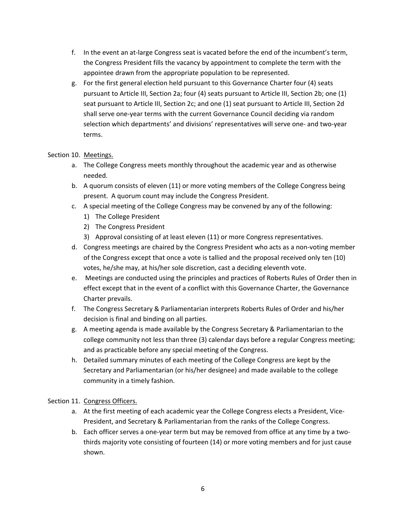- f. In the event an at-large Congress seat is vacated before the end of the incumbent's term, the Congress President fills the vacancy by appointment to complete the term with the appointee drawn from the appropriate population to be represented.
- g. For the first general election held pursuant to this Governance Charter four (4) seats pursuant to Article III, Section 2a; four (4) seats pursuant to Article III, Section 2b; one (1) seat pursuant to Article III, Section 2c; and one (1) seat pursuant to Article III, Section 2d shall serve one‐year terms with the current Governance Council deciding via random selection which departments' and divisions' representatives will serve one- and two-year terms.

## Section 10. Meetings.

- a. The College Congress meets monthly throughout the academic year and as otherwise needed.
- b. A quorum consists of eleven (11) or more voting members of the College Congress being present. A quorum count may include the Congress President.
- c. A special meeting of the College Congress may be convened by any of the following:
	- 1) The College President
	- 2) The Congress President
	- 3) Approval consisting of at least eleven (11) or more Congress representatives.
- d. Congress meetings are chaired by the Congress President who acts as a non‐voting member of the Congress except that once a vote is tallied and the proposal received only ten (10) votes, he/she may, at his/her sole discretion, cast a deciding eleventh vote.
- e. Meetings are conducted using the principles and practices of Roberts Rules of Order then in effect except that in the event of a conflict with this Governance Charter, the Governance Charter prevails.
- f. The Congress Secretary & Parliamentarian interprets Roberts Rules of Order and his/her decision is final and binding on all parties.
- g. A meeting agenda is made available by the Congress Secretary & Parliamentarian to the college community not less than three (3) calendar days before a regular Congress meeting; and as practicable before any special meeting of the Congress.
- h. Detailed summary minutes of each meeting of the College Congress are kept by the Secretary and Parliamentarian (or his/her designee) and made available to the college community in a timely fashion.

## Section 11. Congress Officers.

- a. At the first meeting of each academic year the College Congress elects a President, Vice‐ President, and Secretary & Parliamentarian from the ranks of the College Congress.
- b. Each officer serves a one-year term but may be removed from office at any time by a twothirds majority vote consisting of fourteen (14) or more voting members and for just cause shown.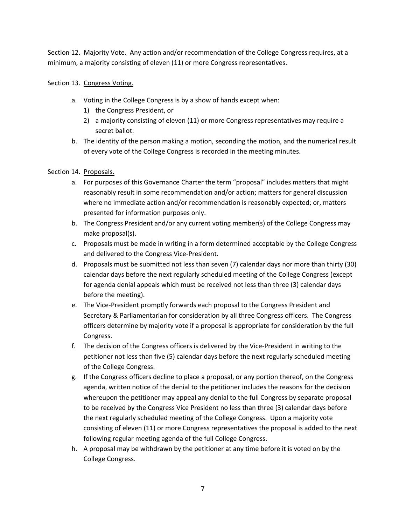Section 12. Majority Vote. Any action and/or recommendation of the College Congress requires, at a minimum, a majority consisting of eleven (11) or more Congress representatives.

### Section 13. Congress Voting.

- a. Voting in the College Congress is by a show of hands except when:
	- 1) the Congress President, or
	- 2) a majority consisting of eleven (11) or more Congress representatives may require a secret ballot.
- b. The identity of the person making a motion, seconding the motion, and the numerical result of every vote of the College Congress is recorded in the meeting minutes.

### Section 14. Proposals.

- a. For purposes of this Governance Charter the term "proposal" includes matters that might reasonably result in some recommendation and/or action; matters for general discussion where no immediate action and/or recommendation is reasonably expected; or, matters presented for information purposes only.
- b. The Congress President and/or any current voting member(s) of the College Congress may make proposal(s).
- c. Proposals must be made in writing in a form determined acceptable by the College Congress and delivered to the Congress Vice‐President.
- d. Proposals must be submitted not less than seven (7) calendar days nor more than thirty (30) calendar days before the next regularly scheduled meeting of the College Congress (except for agenda denial appeals which must be received not less than three (3) calendar days before the meeting).
- e. The Vice‐President promptly forwards each proposal to the Congress President and Secretary & Parliamentarian for consideration by all three Congress officers. The Congress officers determine by majority vote if a proposal is appropriate for consideration by the full Congress.
- f. The decision of the Congress officers is delivered by the Vice-President in writing to the petitioner not less than five (5) calendar days before the next regularly scheduled meeting of the College Congress.
- g. If the Congress officers decline to place a proposal, or any portion thereof, on the Congress agenda, written notice of the denial to the petitioner includes the reasons for the decision whereupon the petitioner may appeal any denial to the full Congress by separate proposal to be received by the Congress Vice President no less than three (3) calendar days before the next regularly scheduled meeting of the College Congress. Upon a majority vote consisting of eleven (11) or more Congress representatives the proposal is added to the next following regular meeting agenda of the full College Congress.
- h. A proposal may be withdrawn by the petitioner at any time before it is voted on by the College Congress.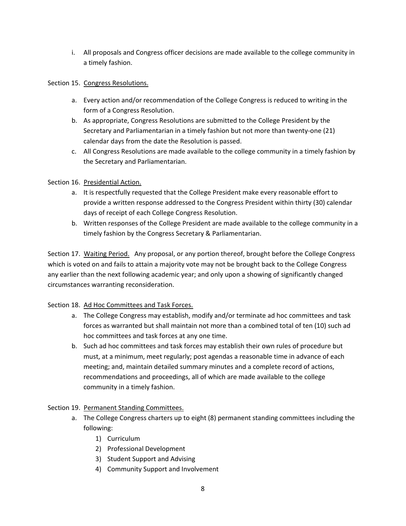i. All proposals and Congress officer decisions are made available to the college community in a timely fashion.

### Section 15. Congress Resolutions.

- a. Every action and/or recommendation of the College Congress is reduced to writing in the form of a Congress Resolution.
- b. As appropriate, Congress Resolutions are submitted to the College President by the Secretary and Parliamentarian in a timely fashion but not more than twenty‐one (21) calendar days from the date the Resolution is passed.
- c. All Congress Resolutions are made available to the college community in a timely fashion by the Secretary and Parliamentarian.

## Section 16. Presidential Action.

- a. It is respectfully requested that the College President make every reasonable effort to provide a written response addressed to the Congress President within thirty (30) calendar days of receipt of each College Congress Resolution.
- b. Written responses of the College President are made available to the college community in a timely fashion by the Congress Secretary & Parliamentarian.

Section 17. Waiting Period. Any proposal, or any portion thereof, brought before the College Congress which is voted on and fails to attain a majority vote may not be brought back to the College Congress any earlier than the next following academic year; and only upon a showing of significantly changed circumstances warranting reconsideration.

## Section 18. Ad Hoc Committees and Task Forces.

- a. The College Congress may establish, modify and/or terminate ad hoc committees and task forces as warranted but shall maintain not more than a combined total of ten (10) such ad hoc committees and task forces at any one time.
- b. Such ad hoc committees and task forces may establish their own rules of procedure but must, at a minimum, meet regularly; post agendas a reasonable time in advance of each meeting; and, maintain detailed summary minutes and a complete record of actions, recommendations and proceedings, all of which are made available to the college community in a timely fashion.

#### Section 19. Permanent Standing Committees.

- a. The College Congress charters up to eight (8) permanent standing committees including the following:
	- 1) Curriculum
	- 2) Professional Development
	- 3) Student Support and Advising
	- 4) Community Support and Involvement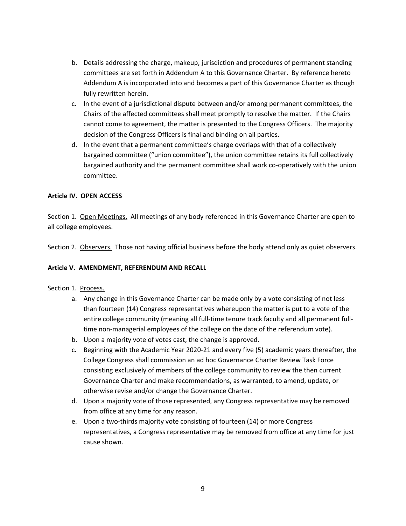- b. Details addressing the charge, makeup, jurisdiction and procedures of permanent standing committees are set forth in Addendum A to this Governance Charter. By reference hereto Addendum A is incorporated into and becomes a part of this Governance Charter as though fully rewritten herein.
- c. In the event of a jurisdictional dispute between and/or among permanent committees, the Chairs of the affected committees shall meet promptly to resolve the matter. If the Chairs cannot come to agreement, the matter is presented to the Congress Officers. The majority decision of the Congress Officers is final and binding on all parties.
- d. In the event that a permanent committee's charge overlaps with that of a collectively bargained committee ("union committee"), the union committee retains its full collectively bargained authority and the permanent committee shall work co-operatively with the union committee.

#### **Article IV. OPEN ACCESS**

Section 1. Open Meetings. All meetings of any body referenced in this Governance Charter are open to all college employees.

Section 2. Observers. Those not having official business before the body attend only as quiet observers.

#### **Article V. AMENDMENT, REFERENDUM AND RECALL**

#### Section 1. Process.

- a. Any change in this Governance Charter can be made only by a vote consisting of not less than fourteen (14) Congress representatives whereupon the matter is put to a vote of the entire college community (meaning all full-time tenure track faculty and all permanent fulltime non-managerial employees of the college on the date of the referendum vote).
- b. Upon a majority vote of votes cast, the change is approved.
- c. Beginning with the Academic Year 2020‐21 and every five (5) academic years thereafter, the College Congress shall commission an ad hoc Governance Charter Review Task Force consisting exclusively of members of the college community to review the then current Governance Charter and make recommendations, as warranted, to amend, update, or otherwise revise and/or change the Governance Charter.
- d. Upon a majority vote of those represented, any Congress representative may be removed from office at any time for any reason.
- e. Upon a two-thirds majority vote consisting of fourteen (14) or more Congress representatives, a Congress representative may be removed from office at any time for just cause shown.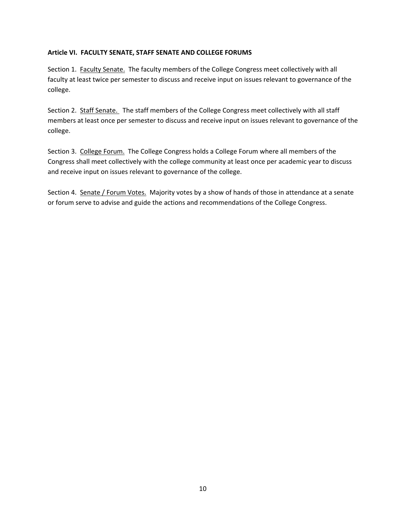### **Article VI. FACULTY SENATE, STAFF SENATE AND COLLEGE FORUMS**

Section 1. Faculty Senate. The faculty members of the College Congress meet collectively with all faculty at least twice per semester to discuss and receive input on issues relevant to governance of the college.

Section 2. Staff Senate. The staff members of the College Congress meet collectively with all staff members at least once per semester to discuss and receive input on issues relevant to governance of the college.

Section 3. College Forum. The College Congress holds a College Forum where all members of the Congress shall meet collectively with the college community at least once per academic year to discuss and receive input on issues relevant to governance of the college.

Section 4. Senate / Forum Votes. Majority votes by a show of hands of those in attendance at a senate or forum serve to advise and guide the actions and recommendations of the College Congress.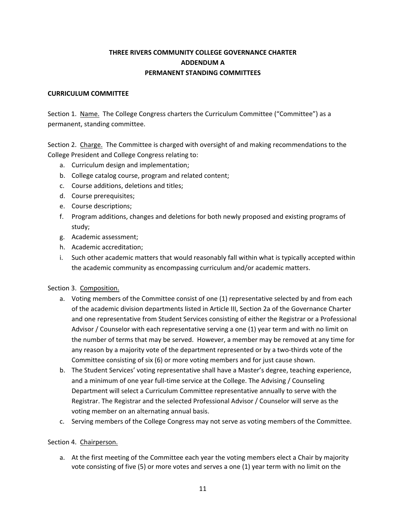## **THREE RIVERS COMMUNITY COLLEGE GOVERNANCE CHARTER ADDENDUM A PERMANENT STANDING COMMITTEES**

#### **CURRICULUM COMMITTEE**

Section 1. Name. The College Congress charters the Curriculum Committee ("Committee") as a permanent, standing committee.

Section 2. Charge. The Committee is charged with oversight of and making recommendations to the College President and College Congress relating to:

- a. Curriculum design and implementation;
- b. College catalog course, program and related content;
- c. Course additions, deletions and titles;
- d. Course prerequisites;
- e. Course descriptions;
- f. Program additions, changes and deletions for both newly proposed and existing programs of study;
- g. Academic assessment;
- h. Academic accreditation;
- i. Such other academic matters that would reasonably fall within what is typically accepted within the academic community as encompassing curriculum and/or academic matters.

## Section 3. Composition.

- a. Voting members of the Committee consist of one (1) representative selected by and from each of the academic division departments listed in Article III, Section 2a of the Governance Charter and one representative from Student Services consisting of either the Registrar or a Professional Advisor / Counselor with each representative serving a one (1) year term and with no limit on the number of terms that may be served. However, a member may be removed at any time for any reason by a majority vote of the department represented or by a two-thirds vote of the Committee consisting of six (6) or more voting members and for just cause shown.
- b. The Student Services' voting representative shall have a Master's degree, teaching experience, and a minimum of one year full-time service at the College. The Advising / Counseling Department will select a Curriculum Committee representative annually to serve with the Registrar. The Registrar and the selected Professional Advisor / Counselor will serve as the voting member on an alternating annual basis.
- c. Serving members of the College Congress may not serve as voting members of the Committee.

## Section 4. Chairperson.

a. At the first meeting of the Committee each year the voting members elect a Chair by majority vote consisting of five (5) or more votes and serves a one (1) year term with no limit on the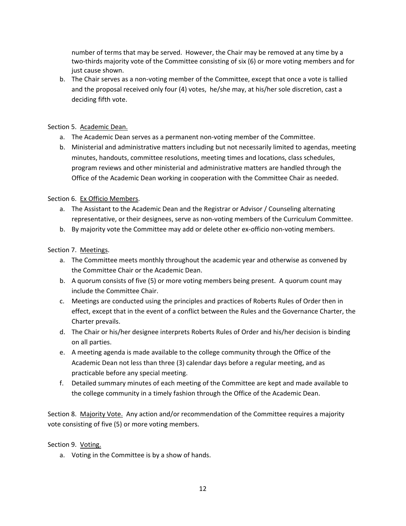number of terms that may be served. However, the Chair may be removed at any time by a two-thirds majority vote of the Committee consisting of six (6) or more voting members and for just cause shown.

b. The Chair serves as a non‐voting member of the Committee, except that once a vote is tallied and the proposal received only four (4) votes, he/she may, at his/her sole discretion, cast a deciding fifth vote.

#### Section 5. Academic Dean.

- a. The Academic Dean serves as a permanent non‐voting member of the Committee.
- b. Ministerial and administrative matters including but not necessarily limited to agendas, meeting minutes, handouts, committee resolutions, meeting times and locations, class schedules, program reviews and other ministerial and administrative matters are handled through the Office of the Academic Dean working in cooperation with the Committee Chair as needed.

#### Section 6. Ex Officio Members.

- a. The Assistant to the Academic Dean and the Registrar or Advisor / Counseling alternating representative, or their designees, serve as non‐voting members of the Curriculum Committee.
- b. By majority vote the Committee may add or delete other ex-officio non-voting members.

### Section 7. Meetings.

- a. The Committee meets monthly throughout the academic year and otherwise as convened by the Committee Chair or the Academic Dean.
- b. A quorum consists of five (5) or more voting members being present. A quorum count may include the Committee Chair.
- c. Meetings are conducted using the principles and practices of Roberts Rules of Order then in effect, except that in the event of a conflict between the Rules and the Governance Charter, the Charter prevails.
- d. The Chair or his/her designee interprets Roberts Rules of Order and his/her decision is binding on all parties.
- e. A meeting agenda is made available to the college community through the Office of the Academic Dean not less than three (3) calendar days before a regular meeting, and as practicable before any special meeting.
- f. Detailed summary minutes of each meeting of the Committee are kept and made available to the college community in a timely fashion through the Office of the Academic Dean.

Section 8. Majority Vote. Any action and/or recommendation of the Committee requires a majority vote consisting of five (5) or more voting members.

#### Section 9. Voting.

a. Voting in the Committee is by a show of hands.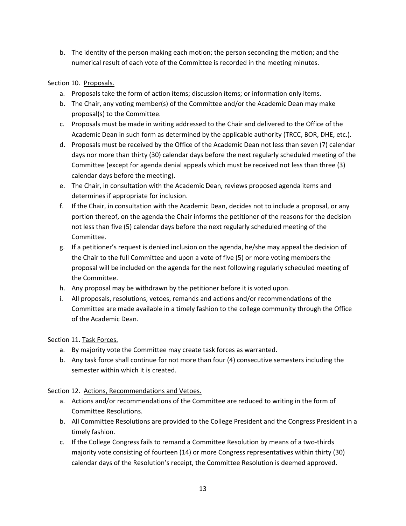b. The identity of the person making each motion; the person seconding the motion; and the numerical result of each vote of the Committee is recorded in the meeting minutes.

## Section 10. Proposals.

- a. Proposals take the form of action items; discussion items; or information only items.
- b. The Chair, any voting member(s) of the Committee and/or the Academic Dean may make proposal(s) to the Committee.
- c. Proposals must be made in writing addressed to the Chair and delivered to the Office of the Academic Dean in such form as determined by the applicable authority (TRCC, BOR, DHE, etc.).
- d. Proposals must be received by the Office of the Academic Dean not less than seven (7) calendar days nor more than thirty (30) calendar days before the next regularly scheduled meeting of the Committee (except for agenda denial appeals which must be received not less than three (3) calendar days before the meeting).
- e. The Chair, in consultation with the Academic Dean, reviews proposed agenda items and determines if appropriate for inclusion.
- f. If the Chair, in consultation with the Academic Dean, decides not to include a proposal, or any portion thereof, on the agenda the Chair informs the petitioner of the reasons for the decision not less than five (5) calendar days before the next regularly scheduled meeting of the Committee.
- g. If a petitioner's request is denied inclusion on the agenda, he/she may appeal the decision of the Chair to the full Committee and upon a vote of five (5) or more voting members the proposal will be included on the agenda for the next following regularly scheduled meeting of the Committee.
- h. Any proposal may be withdrawn by the petitioner before it is voted upon.
- i. All proposals, resolutions, vetoes, remands and actions and/or recommendations of the Committee are made available in a timely fashion to the college community through the Office of the Academic Dean.

## Section 11. Task Forces.

- a. By majority vote the Committee may create task forces as warranted.
- b. Any task force shall continue for not more than four (4) consecutive semesters including the semester within which it is created.

## Section 12. Actions, Recommendations and Vetoes.

- a. Actions and/or recommendations of the Committee are reduced to writing in the form of Committee Resolutions.
- b. All Committee Resolutions are provided to the College President and the Congress President in a timely fashion.
- c. If the College Congress fails to remand a Committee Resolution by means of a two‐thirds majority vote consisting of fourteen (14) or more Congress representatives within thirty (30) calendar days of the Resolution's receipt, the Committee Resolution is deemed approved.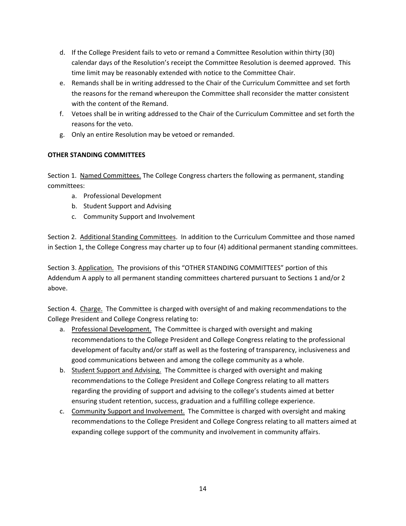- d. If the College President fails to veto or remand a Committee Resolution within thirty (30) calendar days of the Resolution's receipt the Committee Resolution is deemed approved. This time limit may be reasonably extended with notice to the Committee Chair.
- e. Remands shall be in writing addressed to the Chair of the Curriculum Committee and set forth the reasons for the remand whereupon the Committee shall reconsider the matter consistent with the content of the Remand.
- f. Vetoes shall be in writing addressed to the Chair of the Curriculum Committee and set forth the reasons for the veto.
- g. Only an entire Resolution may be vetoed or remanded.

## **OTHER STANDING COMMITTEES**

Section 1. Named Committees. The College Congress charters the following as permanent, standing committees:

- a. Professional Development
- b. Student Support and Advising
- c. Community Support and Involvement

Section 2. Additional Standing Committees. In addition to the Curriculum Committee and those named in Section 1, the College Congress may charter up to four (4) additional permanent standing committees.

Section 3. Application. The provisions of this "OTHER STANDING COMMITTEES" portion of this Addendum A apply to all permanent standing committees chartered pursuant to Sections 1 and/or 2 above.

Section 4. Charge. The Committee is charged with oversight of and making recommendations to the College President and College Congress relating to:

- a. Professional Development. The Committee is charged with oversight and making recommendations to the College President and College Congress relating to the professional development of faculty and/or staff as well as the fostering of transparency, inclusiveness and good communications between and among the college community as a whole.
- b. Student Support and Advising. The Committee is charged with oversight and making recommendations to the College President and College Congress relating to all matters regarding the providing of support and advising to the college's students aimed at better ensuring student retention, success, graduation and a fulfilling college experience.
- c. Community Support and Involvement. The Committee is charged with oversight and making recommendations to the College President and College Congress relating to all matters aimed at expanding college support of the community and involvement in community affairs.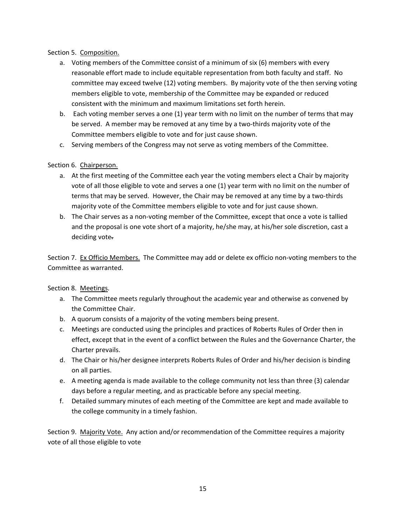### Section 5. Composition.

- a. Voting members of the Committee consist of a minimum of six (6) members with every reasonable effort made to include equitable representation from both faculty and staff. No committee may exceed twelve (12) voting members. By majority vote of the then serving voting members eligible to vote, membership of the Committee may be expanded or reduced consistent with the minimum and maximum limitations set forth herein.
- b. Each voting member serves a one (1) year term with no limit on the number of terms that may be served. A member may be removed at any time by a two-thirds majority vote of the Committee members eligible to vote and for just cause shown.
- c. Serving members of the Congress may not serve as voting members of the Committee.

## Section 6. Chairperson.

- a. At the first meeting of the Committee each year the voting members elect a Chair by majority vote of all those eligible to vote and serves a one (1) year term with no limit on the number of terms that may be served. However, the Chair may be removed at any time by a two‐thirds majority vote of the Committee members eligible to vote and for just cause shown.
- b. The Chair serves as a non‐voting member of the Committee, except that once a vote is tallied and the proposal is one vote short of a majority, he/she may, at his/her sole discretion, cast a deciding vote.

Section 7. Ex Officio Members. The Committee may add or delete ex officio non‐voting members to the Committee as warranted.

#### Section 8. Meetings.

- a. The Committee meets regularly throughout the academic year and otherwise as convened by the Committee Chair.
- b. A quorum consists of a majority of the voting members being present.
- c. Meetings are conducted using the principles and practices of Roberts Rules of Order then in effect, except that in the event of a conflict between the Rules and the Governance Charter, the Charter prevails.
- d. The Chair or his/her designee interprets Roberts Rules of Order and his/her decision is binding on all parties.
- e. A meeting agenda is made available to the college community not less than three (3) calendar days before a regular meeting, and as practicable before any special meeting.
- f. Detailed summary minutes of each meeting of the Committee are kept and made available to the college community in a timely fashion.

Section 9. Majority Vote. Any action and/or recommendation of the Committee requires a majority vote of all those eligible to vote